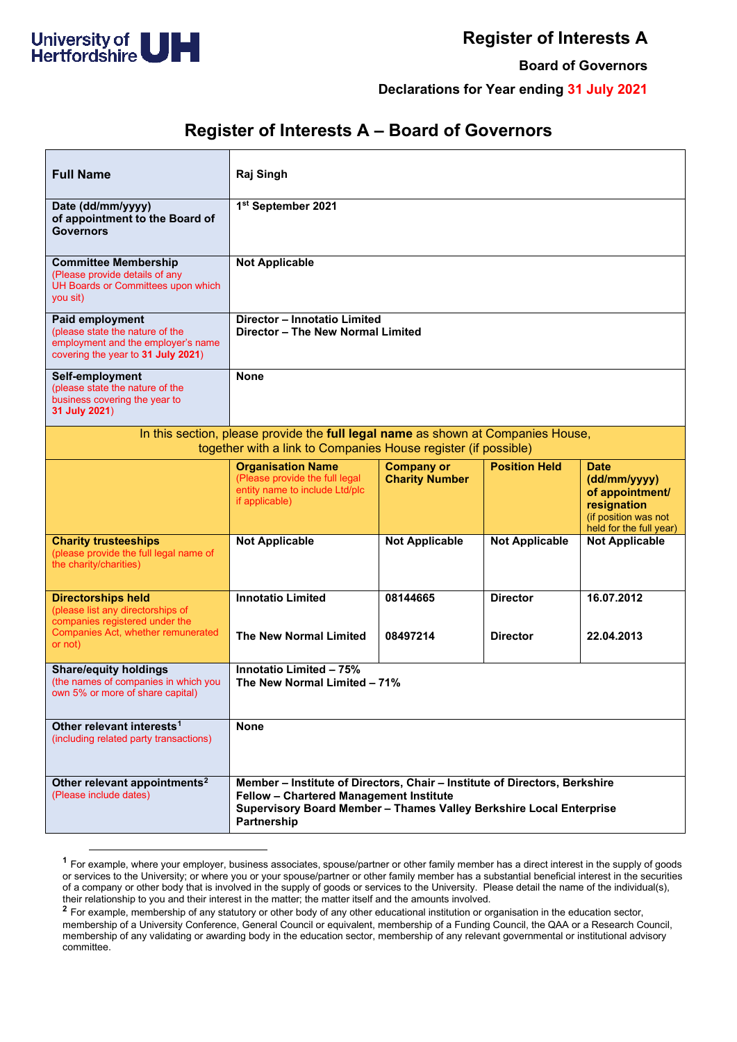

## **Register of Interests A**

**Board of Governors**

**Declarations for Year ending 31 July 2021**

## **Register of Interests A – Board of Governors**

| <b>Full Name</b>                                                                                                                                   | Raj Singh                                                                                                                                                                                                   |                                            |                       |                                                                                                                  |
|----------------------------------------------------------------------------------------------------------------------------------------------------|-------------------------------------------------------------------------------------------------------------------------------------------------------------------------------------------------------------|--------------------------------------------|-----------------------|------------------------------------------------------------------------------------------------------------------|
| Date (dd/mm/yyyy)<br>of appointment to the Board of<br><b>Governors</b>                                                                            | 1st September 2021                                                                                                                                                                                          |                                            |                       |                                                                                                                  |
| <b>Committee Membership</b><br>(Please provide details of any<br>UH Boards or Committees upon which<br>you sit)                                    | <b>Not Applicable</b>                                                                                                                                                                                       |                                            |                       |                                                                                                                  |
| Paid employment<br>(please state the nature of the<br>employment and the employer's name<br>covering the year to 31 July 2021)                     | Director - Innotatio Limited<br>Director - The New Normal Limited                                                                                                                                           |                                            |                       |                                                                                                                  |
| Self-employment<br>(please state the nature of the<br>business covering the year to<br>31 July 2021)                                               | <b>None</b>                                                                                                                                                                                                 |                                            |                       |                                                                                                                  |
| In this section, please provide the full legal name as shown at Companies House,<br>together with a link to Companies House register (if possible) |                                                                                                                                                                                                             |                                            |                       |                                                                                                                  |
|                                                                                                                                                    | <b>Organisation Name</b><br>(Please provide the full legal<br>entity name to include Ltd/plc<br>if applicable)                                                                                              | <b>Company or</b><br><b>Charity Number</b> | <b>Position Held</b>  | <b>Date</b><br>(dd/mm/yyyy)<br>of appointment/<br>resignation<br>(if position was not<br>held for the full year) |
| <b>Charity trusteeships</b><br>(please provide the full legal name of<br>the charity/charities)                                                    | <b>Not Applicable</b>                                                                                                                                                                                       | <b>Not Applicable</b>                      | <b>Not Applicable</b> | <b>Not Applicable</b>                                                                                            |
| <b>Directorships held</b><br>(please list any directorships of<br>companies registered under the                                                   | <b>Innotatio Limited</b>                                                                                                                                                                                    | 08144665                                   | <b>Director</b>       | 16.07.2012                                                                                                       |
| Companies Act, whether remunerated<br>or not)                                                                                                      | The New Normal Limited                                                                                                                                                                                      | 08497214                                   | <b>Director</b>       | 22.04.2013                                                                                                       |
| <b>Share/equity holdings</b><br>(the names of companies in which you<br>own 5% or more of share capital)                                           | Innotatio Limited - 75%<br>The New Normal Limited - 71%                                                                                                                                                     |                                            |                       |                                                                                                                  |
| Other relevant interests <sup>1</sup><br>(including related party transactions)                                                                    | <b>None</b>                                                                                                                                                                                                 |                                            |                       |                                                                                                                  |
| Other relevant appointments <sup>2</sup><br>(Please include dates)                                                                                 | Member - Institute of Directors, Chair - Institute of Directors, Berkshire<br>Fellow - Chartered Management Institute<br>Supervisory Board Member - Thames Valley Berkshire Local Enterprise<br>Partnership |                                            |                       |                                                                                                                  |

<span id="page-0-0"></span>**<sup>1</sup>** For example, where your employer, business associates, spouse/partner or other family member has a direct interest in the supply of goods or services to the University; or where you or your spouse/partner or other family member has a substantial beneficial interest in the securities of a company or other body that is involved in the supply of goods or services to the University. Please detail the name of the individual(s), their relationship to you and their interest in the matter; the matter itself and the amounts involved.

<span id="page-0-1"></span><sup>&</sup>lt;sup>2</sup> For example, membership of any statutory or other body of any other educational institution or organisation in the education sector, membership of a University Conference, General Council or equivalent, membership of a Funding Council, the QAA or a Research Council, membership of any validating or awarding body in the education sector, membership of any relevant governmental or institutional advisory committee.